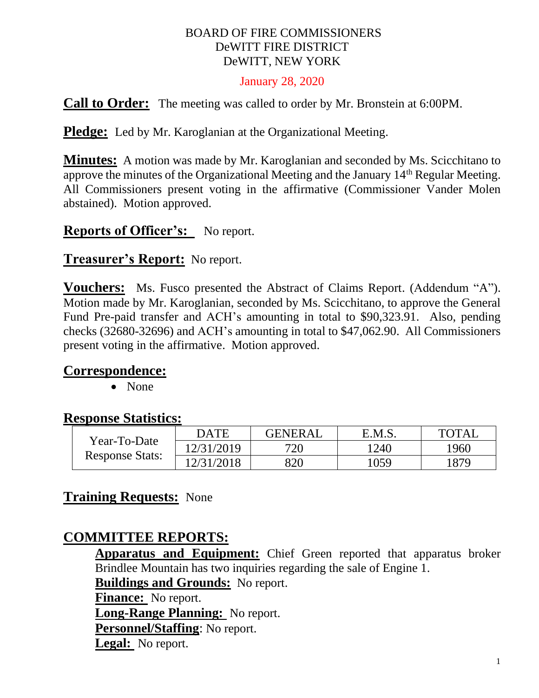### BOARD OF FIRE COMMISSIONERS DeWITT FIRE DISTRICT DeWITT, NEW YORK

#### January 28, 2020

**Call to Order:** The meeting was called to order by Mr. Bronstein at 6:00PM.

**Pledge:** Led by Mr. Karoglanian at the Organizational Meeting.

**Minutes:** A motion was made by Mr. Karoglanian and seconded by Ms. Scicchitano to approve the minutes of the Organizational Meeting and the January 14th Regular Meeting. All Commissioners present voting in the affirmative (Commissioner Vander Molen abstained). Motion approved.

## **Reports of Officer's:** No report.

### **Treasurer's Report:** No report.

**Vouchers:** Ms. Fusco presented the Abstract of Claims Report. (Addendum "A"). Motion made by Mr. Karoglanian, seconded by Ms. Scicchitano, to approve the General Fund Pre-paid transfer and ACH's amounting in total to \$90,323.91. Also, pending checks (32680-32696) and ACH's amounting in total to \$47,062.90. All Commissioners present voting in the affirmative. Motion approved.

### **Correspondence:**

• None

## **Response Statistics:**

| Year-To-Date<br><b>Response Stats:</b> | DATE       | <b>GENERAL</b> | E.M.S. | <b>TOTAL</b> |
|----------------------------------------|------------|----------------|--------|--------------|
|                                        | 12/31/2019 | 720            | 1240   | 1960         |
|                                        | 12/31/2018 | 820            | 1059   | 1879         |

## **Training Requests:** None

## **COMMITTEE REPORTS:**

**Apparatus and Equipment:** Chief Green reported that apparatus broker Brindlee Mountain has two inquiries regarding the sale of Engine 1.

**Buildings and Grounds:** No report.

**Finance:** No report.

**Long-Range Planning:** No report.

**Personnel/Staffing**: No report.

**Legal:** No report.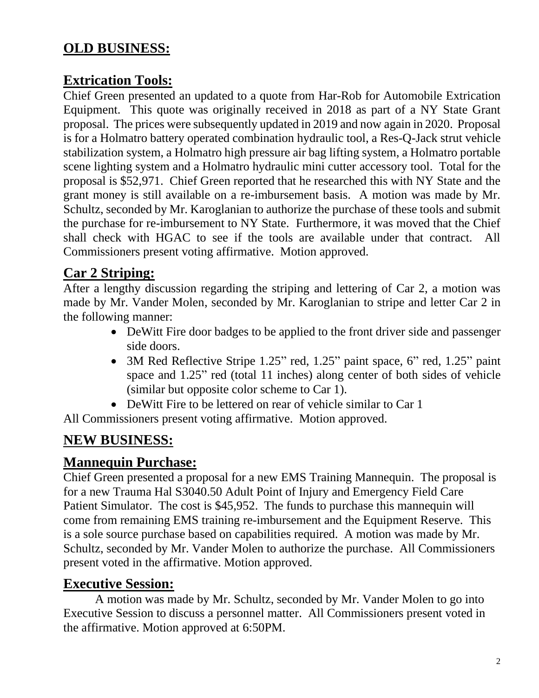# **OLD BUSINESS:**

# **Extrication Tools:**

Chief Green presented an updated to a quote from Har-Rob for Automobile Extrication Equipment. This quote was originally received in 2018 as part of a NY State Grant proposal. The prices were subsequently updated in 2019 and now again in 2020. Proposal is for a Holmatro battery operated combination hydraulic tool, a Res-Q-Jack strut vehicle stabilization system, a Holmatro high pressure air bag lifting system, a Holmatro portable scene lighting system and a Holmatro hydraulic mini cutter accessory tool. Total for the proposal is \$52,971. Chief Green reported that he researched this with NY State and the grant money is still available on a re-imbursement basis. A motion was made by Mr. Schultz, seconded by Mr. Karoglanian to authorize the purchase of these tools and submit the purchase for re-imbursement to NY State. Furthermore, it was moved that the Chief shall check with HGAC to see if the tools are available under that contract. All Commissioners present voting affirmative. Motion approved.

# **Car 2 Striping:**

After a lengthy discussion regarding the striping and lettering of Car 2, a motion was made by Mr. Vander Molen, seconded by Mr. Karoglanian to stripe and letter Car 2 in the following manner:

- DeWitt Fire door badges to be applied to the front driver side and passenger side doors.
- 3M Red Reflective Stripe 1.25" red, 1.25" paint space, 6" red, 1.25" paint space and 1.25" red (total 11 inches) along center of both sides of vehicle (similar but opposite color scheme to Car 1).
- DeWitt Fire to be lettered on rear of vehicle similar to Car 1

All Commissioners present voting affirmative. Motion approved.

# **NEW BUSINESS:**

# **Mannequin Purchase:**

Chief Green presented a proposal for a new EMS Training Mannequin. The proposal is for a new Trauma Hal S3040.50 Adult Point of Injury and Emergency Field Care Patient Simulator. The cost is \$45,952. The funds to purchase this mannequin will come from remaining EMS training re-imbursement and the Equipment Reserve. This is a sole source purchase based on capabilities required. A motion was made by Mr. Schultz, seconded by Mr. Vander Molen to authorize the purchase. All Commissioners present voted in the affirmative. Motion approved.

# **Executive Session:**

A motion was made by Mr. Schultz, seconded by Mr. Vander Molen to go into Executive Session to discuss a personnel matter. All Commissioners present voted in the affirmative. Motion approved at 6:50PM.